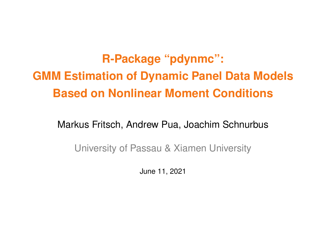**R-Package "pdynmc": GMM Estimation of Dynamic Panel Data Models Based on Nonlinear Moment Conditions**

Markus Fritsch, Andrew Pua, Joachim Schnurbus

University of Passau & Xiamen University

June 11, 2021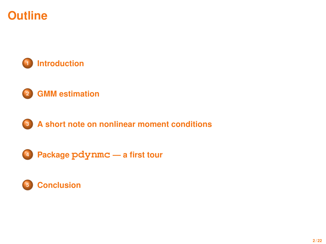# **Outline**



## **[GMM estimation](#page-4-0)**



**Package pdynmc [— a first tour](#page-10-0)**

## **[Conclusion](#page-21-0)**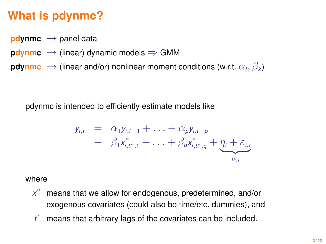# <span id="page-2-0"></span>**What is pdynmc?**

- **pdynmc**  $\rightarrow$  panel data
- **pdynmc**  $\rightarrow$  (linear) dynamic models  $\Rightarrow$  GMM
- $\mathsf{pdynmc}\ \rightarrow$  (linear and/or) nonlinear moment conditions (w.r.t.  $\alpha_j,\beta_k$ )

pdynmc is intended to efficiently estimate models like

$$
y_{i,t} = \alpha_1 y_{i,t-1} + \ldots + \alpha_p y_{i,t-p}
$$
  
+  $\beta_1 x_{i,t^*,1}^* + \ldots + \beta_q x_{i,t^*,q}^* + \underbrace{\eta_i + \varepsilon_{i,t}}_{u_{i,t}}$ 

where

- *x* means that we allow for endogenous, predetermined, and/or exogenous covariates (could also be time/etc. dummies), and
- *t* means that arbitrary lags of the covariates can be included.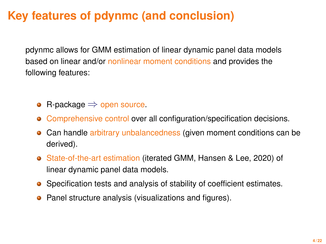# **Key features of pdynmc (and conclusion)**

pdynmc allows for GMM estimation of linear dynamic panel data models based on linear and/or nonlinear moment conditions and provides the following features:

- R-package  $\Rightarrow$  open source.  $\bullet$
- Comprehensive control over all configuration/specification decisions.  $\bullet$
- Can handle arbitrary unbalancedness (given moment conditions can be  $\bullet$ derived).
- State-of-the-art estimation (iterated GMM, Hansen & Lee, 2020) of linear dynamic panel data models.
- Specification tests and analysis of stability of coefficient estimates.
- **•** Panel structure analysis (visualizations and figures).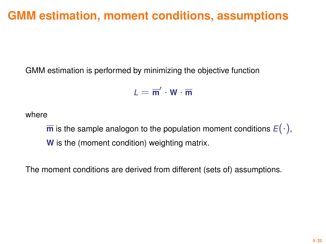# <span id="page-4-0"></span>**GMM estimation, moment conditions, assumptions**

GMM estimation is performed by minimizing the objective function

$$
\mathbf{L}=\overline{\mathbf{m}}'\cdot\mathbf{W}\cdot\overline{\mathbf{m}}
$$

where

 $\overline{\mathbf{m}}$  is the sample analogon to the population moment conditions  $E(\cdot)$ , **W** is the (moment condition) weighting matrix.

The moment conditions are derived from different (sets of) assumptions.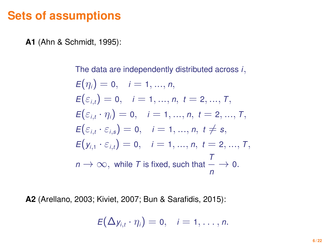## **Sets of assumptions**

**A1** (Ahn & Schmidt, 1995):

The data are independently distributed across *i*,

$$
E(\eta_i) = 0, \quad i = 1, ..., n,
$$
  
\n
$$
E(\varepsilon_{i,t}) = 0, \quad i = 1, ..., n, \ t = 2, ..., T,
$$
  
\n
$$
E(\varepsilon_{i,t} \cdot \eta_i) = 0, \quad i = 1, ..., n, \ t = 2, ..., T,
$$
  
\n
$$
E(\varepsilon_{i,t} \cdot \varepsilon_{i,s}) = 0, \quad i = 1, ..., n, \ t \neq s,
$$
  
\n
$$
E(y_{i,1} \cdot \varepsilon_{i,t}) = 0, \quad i = 1, ..., n, \ t = 2, ..., T,
$$
  
\n
$$
n \to \infty, \text{ while } T \text{ is fixed, such that } \frac{T}{n} \to 0.
$$

**A2** (Arellano, 2003; Kiviet, 2007; Bun & Sarafidis, 2015):

$$
E(\Delta y_{i,t} \cdot \eta_i) = 0, \quad i = 1,\ldots,n.
$$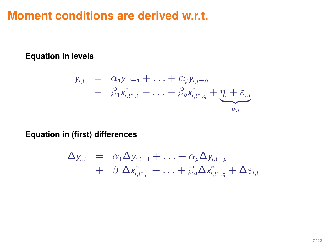## **Moment conditions are derived w.r.t.**

**Equation in levels**

$$
y_{i,t} = \alpha_1 y_{i,t-1} + \ldots + \alpha_p y_{i,t-p}
$$
  
+  $\beta_1 x_{i,t^*,1}^* + \ldots + \beta_q x_{i,t^*,q}^* + \underbrace{\eta_i + \varepsilon_{i,t}}_{u_{i,t}}$ 

**Equation in (first) differences**

$$
\Delta y_{i,t} = \alpha_1 \Delta y_{i,t-1} + \ldots + \alpha_p \Delta y_{i,t-p} \n+ \beta_1 \Delta x_{i,t^*,1}^* + \ldots + \beta_q \Delta x_{i,t^*,q}^* + \Delta \varepsilon_{i,t}
$$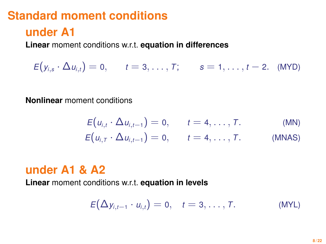# **Standard moment conditions**

## **under A1**

**Linear** moment conditions w.r.t. **equation in differences**

 $E(y_{i,s} \cdot \Delta u_{i,t}) = 0,$  *t* = 3, . . . , *T*; *s* = 1, . . . , *t* − 2. (MYD)

**Nonlinear** moment conditions

$$
E(u_{i,t} \cdot \Delta u_{i,t-1}) = 0, \qquad t = 4, \ldots, T.
$$
 (MN)

$$
E(u_{i,T} \cdot \Delta u_{i,t-1}) = 0, \qquad t = 4, \ldots, T.
$$
 (MNAS)

## **under A1 & A2**

**Linear** moment conditions w.r.t. **equation in levels**

$$
E(\Delta y_{i,t-1} \cdot u_{i,t}) = 0, \quad t = 3, \ldots, T.
$$
 (MYL)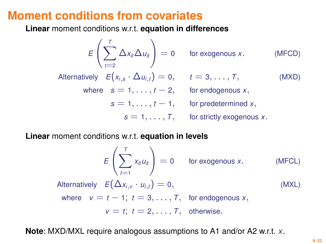## **Moment conditions from covariates**

**Linear** moment conditions w.r.t. **equation in differences**

$$
E\left(\sum_{t=2}^{T} \Delta x_{it} \Delta u_{it}\right) = 0 \quad \text{for exogenous } x. \quad \text{(MFCD)}
$$
\nAlternatively  $E(x_{i,s} \cdot \Delta u_{i,t}) = 0$ ,  $t = 3, \ldots, T$ ,  $\text{(MXD)}$ 

\nwhere  $s = 1, \ldots, t - 2$ , for endogenous  $x$ ,  $s = 1, \ldots, t - 1$ , for predetermined  $x$ ,  $s = 1, \ldots, T$ , for strictly exogenous  $x$ .

**Linear** moment conditions w.r.t. **equation in levels**

$$
E\left(\sum_{t=1}^{T} x_{it} u_{it}\right) = 0 \quad \text{for exogenous } x. \quad \text{(MFCL)}
$$
  
Alternatively  $E(\Delta x_{i,v} \cdot u_{i,t}) = 0$ , \quad \text{(MXL)}

where 
$$
v = t - 1
$$
;  $t = 3, ..., T$ , for endogenous x,  
 $v = t$ ;  $t = 2, ..., T$ , otherwise.

**Note**: MXD/MXL require analogous assumptions to A1 and/or A2 w.r.t. *x*.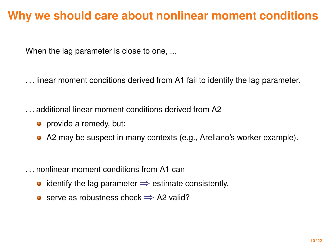# <span id="page-9-0"></span>**Why we should care about nonlinear moment conditions**

When the lag parameter is close to one, ...

. . . linear moment conditions derived from A1 fail to identify the lag parameter.

. . . additional linear moment conditions derived from A2

- provide a remedy, but:
- A2 may be suspect in many contexts (e.g., Arellano's worker example).

. . . nonlinear moment conditions from A1 can

- identify the lag parameter  $\Rightarrow$  estimate consistently.
- serve as robustness check  $\Rightarrow$  A2 valid?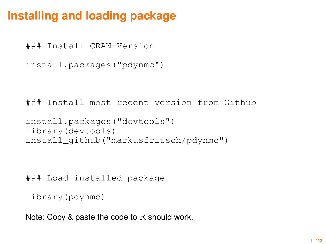# <span id="page-10-0"></span>**Installing and loading package**

### Install CRAN-Version

```
install.packages("pdynmc")
```

```
### Install most recent version from Github
```

```
install.packages("devtools")
library(devtools)
install_github("markusfritsch/pdynmc")
```

```
### Load installed package
```

```
library(pdynmc)
```
Note: Copy & paste the code to R should work.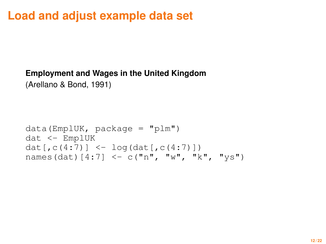# **Load and adjust example data set**

### **Employment and Wages in the United Kingdom**

(Arellano & Bond, 1991)

```
data(EmplUK, package = "plm")dat <- EmplUK
dat[\,c(4:7)] <- log(dat[\,c(4:7)])
names(dat)[4:7] <- c("n", "w", "k", "ys")
```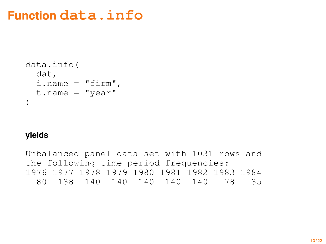# **Function data.info**

```
data.info(
  dat,
  i.name = "firm",t.name = "year")
```
#### **yields**

Unbalanced panel data set with 1031 rows and the following time period frequencies: 1976 1977 1978 1979 1980 1981 1982 1983 1984 80 138 140 140 140 140 140 78 35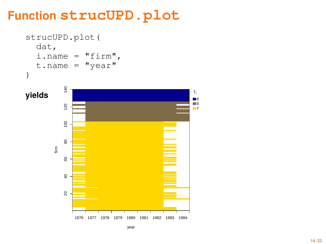# **Function strucUPD.plot**

```
strucUPD.plot(
  dat,
  i.name = "firm",t.name = "year")
```
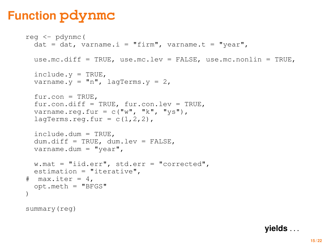# **Function pdynmc**

```
reg <- pdynmc(
 dat = dat, varname.i = "firm", varname.t = "vear",
 use.mc.diff = TRUE, use.mc.lev = FALSE, use.mc.nonlin = TRUE,
  include. y = TRUE,varname.y = "n", lagTerms.y = 2,
  fur.com = TRUE.fur.con.diff = TRUE, fur.con.lev = TRUE,
  varname.reg.fur = c("w", "k", "ys"),
  laTerms.read.fur = c(1,2,2).
  include.dum = TRUE,
  dum.diff = TRUE, dum.lev = FALSE,
 varname.dum = "year",
  w.mat = "iid.err", std.err = "corrected",
 estimation = "iterative",
# max.iter = 4.
 opt.meth = "BFGS"
)
summary(reg)
```
**yields** . . .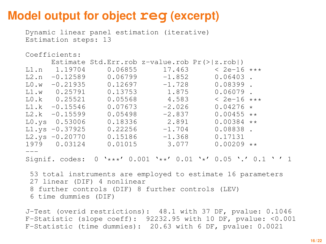# **Model output for object reg (excerpt)**

Dynamic linear panel estimation (iterative) Estimation steps: 13

#### Coefficients:

|      |                  |         |          | Estimate Std.Err.rob z-value.rob $Pr(>   z.rob )$                                               |  |
|------|------------------|---------|----------|-------------------------------------------------------------------------------------------------|--|
|      | L1.n 1.19704     | 0.06855 | 17.463   | $< 2e-16$ ***                                                                                   |  |
| L2.n | $-0.12589$       | 0.06799 | $-1.852$ | $0.06403$ .                                                                                     |  |
| L0.w | $-0.21935$       | 0.12697 | $-1.728$ | $0.08399$ .                                                                                     |  |
|      | $L1.w$ 0.25791   | 0.13753 | 1.875    | $0.06079$ .                                                                                     |  |
|      | $LO.k$ $0.25521$ | 0.05568 | 4.583    | $< 2e-16$ ***                                                                                   |  |
|      | $L1.k - 0.15546$ | 0.07673 | $-2.026$ | $0.04276 *$                                                                                     |  |
|      | $L2.k -0.15599$  | 0.05498 | $-2.837$ | $0.00455$ **                                                                                    |  |
|      | $L0.ys$ 0.53006  | 0.18336 | 2.891    | $0.00384$ **                                                                                    |  |
|      | $L1.ys -0.37925$ | 0.22256 | $-1.704$ | $0.08838$ .                                                                                     |  |
|      | $L2.ys -0.20770$ | 0.15186 | $-1.368$ | 0.17131                                                                                         |  |
|      | 1979 0.03124     | 0.01015 | 3.077    | $0.00209**$                                                                                     |  |
|      |                  |         |          |                                                                                                 |  |
|      | Signif. codes:   |         |          | $0 \rightarrow***'$ 0.001 $\rightarrow***'$ 0.01 $\rightarrow*'$ 0.05 $\cdot$ .' 0.1 $\cdot$ '1 |  |

53 total instruments are employed to estimate 16 parameters 27 linear (DIF) 4 nonlinear 8 further controls (DIF) 8 further controls (LEV) 6 time dummies (DIF)

J-Test (overid restrictions): 48.1 with 37 DF, pvalue: 0.1046 F-Statistic (slope coeff): 92232.95 with 10 DF, pvalue: <0.001 F-Statistic (time dummies): 20.63 with 6 DF, pvalue: 0.0021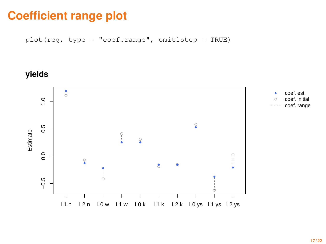# **Coefficient range plot**

plot(reg, type = "coef.range", omit1step = TRUE)

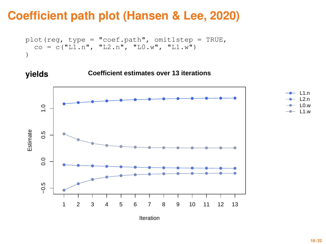# **Coefficient path plot (Hansen & Lee, 2020)**

```
plot(reg, type = "coef.path", omit1step = TRUE,
  co = c("L1.n", "L2.n", "L0.w", "L1.w"))
```


Iteration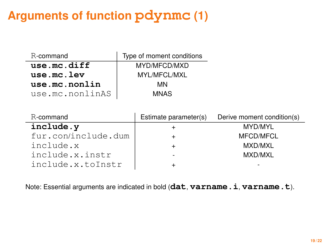# **Arguments of function pdynmc (1)**

| R-command       | Type of moment conditions |
|-----------------|---------------------------|
| use.mc.diff     | MYD/MFCD/MXD              |
| use.mc.lev      | MYL/MFCL/MXL              |
| use.mc.nonlin   | MN                        |
| use.mc.nonlinAS | <b>MNAS</b>               |

| R-command           | Estimate parameter(s) | Derive moment condition(s) |
|---------------------|-----------------------|----------------------------|
| include.y           |                       | MYD/MYL                    |
| fur.con/include.dum |                       | <b>MFCD/MFCL</b>           |
| include.x           |                       | MXD/MXL                    |
| include.x.instr     |                       | MXD/MXL                    |
| include.x.toInstr   |                       | $\overline{\phantom{0}}$   |

Note: Essential arguments are indicated in bold (**dat**, **varname.i**, **varname.t**).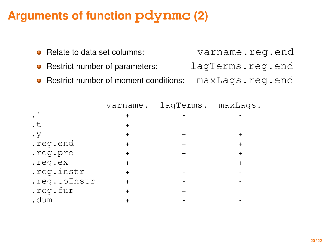# **Arguments of function pdynmc (2)**

| • Relate to data set columns:           | varname.req.end  |
|-----------------------------------------|------------------|
| • Restrict number of parameters:        | lagTerms.reg.end |
| • Restrict number of moment conditions: | maxLags.reg.end  |

|              | varname. | lagTerms. maxLags. |  |
|--------------|----------|--------------------|--|
| .i           |          |                    |  |
| $\cdot$ t    |          |                    |  |
| $\cdot$ V    |          |                    |  |
| .reg.end     |          |                    |  |
| .req.pre     |          |                    |  |
| .req.ex      |          |                    |  |
| .reg.instr   |          |                    |  |
| .reg.toInstr |          |                    |  |
| .reg.fur     |          |                    |  |
| ាងអា         |          |                    |  |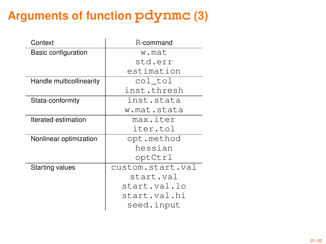# **Arguments of function pdynmc (3)**

| Context                  | R-command        |
|--------------------------|------------------|
| Basic configuration      | w.mat            |
|                          | std.err          |
|                          | estimation       |
| Handle multicollinearity | col tol          |
|                          | inst.thresh      |
| Stata-conformity         | inst.stata       |
|                          | w.mat.stata      |
| Iterated estimation      | max.iter         |
|                          | iter.tol         |
| Nonlinear optimization   | opt.method       |
|                          | hessian          |
|                          | optCtrl          |
| <b>Starting values</b>   | custom.start.val |
|                          | start.val        |
|                          | start.val.lo     |
|                          | start.val.hi     |
|                          | seed.input       |